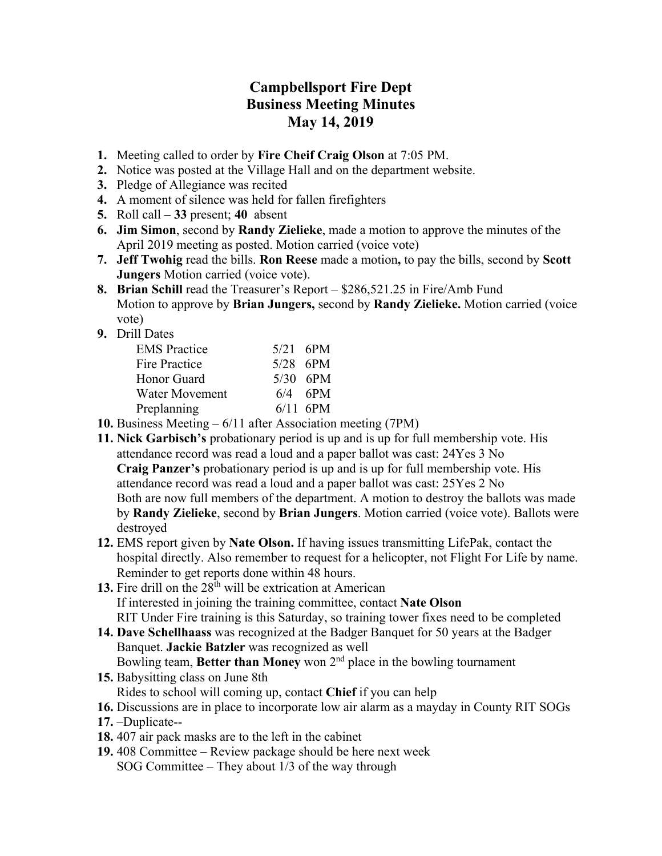## **Campbellsport Fire Dept Business Meeting Minutes May 14, 2019**

- **1.** Meeting called to order by **Fire Cheif Craig Olson** at 7:05 PM.
- **2.** Notice was posted at the Village Hall and on the department website.
- **3.** Pledge of Allegiance was recited
- **4.** A moment of silence was held for fallen firefighters
- **5.** Roll call **33** present; **40** absent
- **6. Jim Simon**, second by **Randy Zielieke**, made a motion to approve the minutes of the April 2019 meeting as posted. Motion carried (voice vote)
- **7. Jeff Twohig** read the bills. **Ron Reese** made a motion**,** to pay the bills, second by **Scott Jungers** Motion carried (voice vote).
- **8. Brian Schill** read the Treasurer's Report \$286,521.25 in Fire/Amb Fund Motion to approve by **Brian Jungers,** second by **Randy Zielieke.** Motion carried (voice vote)
- **9.** Drill Dates

| <b>EMS</b> Practice   | $5/21$ 6PM |
|-----------------------|------------|
| <b>Fire Practice</b>  | $5/28$ 6PM |
| Honor Guard           | $5/30$ 6PM |
| <b>Water Movement</b> | $6/4$ 6PM  |
| Preplanning           | $6/11$ 6PM |
|                       |            |

- **10.** Business Meeting 6/11 after Association meeting (7PM)
- **11. Nick Garbisch's** probationary period is up and is up for full membership vote. His attendance record was read a loud and a paper ballot was cast: 24Yes 3 No **Craig Panzer's** probationary period is up and is up for full membership vote. His attendance record was read a loud and a paper ballot was cast: 25Yes 2 No Both are now full members of the department. A motion to destroy the ballots was made by **Randy Zielieke**, second by **Brian Jungers**. Motion carried (voice vote). Ballots were destroyed
- **12.** EMS report given by **Nate Olson.** If having issues transmitting LifePak, contact the hospital directly. Also remember to request for a helicopter, not Flight For Life by name. Reminder to get reports done within 48 hours.
- 13. Fire drill on the 28<sup>th</sup> will be extrication at American If interested in joining the training committee, contact **Nate Olson**  RIT Under Fire training is this Saturday, so training tower fixes need to be completed
- **14. Dave Schellhaass** was recognized at the Badger Banquet for 50 years at the Badger Banquet. **Jackie Batzler** was recognized as well Bowling team, **Better than Money** won 2nd place in the bowling tournament
- **15.** Babysitting class on June 8th Rides to school will coming up, contact **Chief** if you can help
- **16.** Discussions are in place to incorporate low air alarm as a mayday in County RIT SOGs
- **17.** –Duplicate--
- **18.** 407 air pack masks are to the left in the cabinet
- **19.** 408 Committee Review package should be here next week SOG Committee – They about 1/3 of the way through